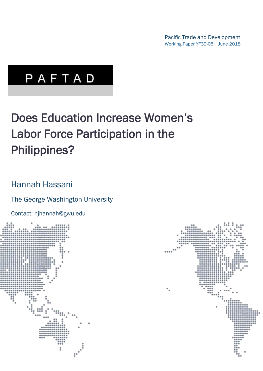Pacific Trade and Development Working Paper YF39-05 | June 2018

# PAFTAD

# Does Education Increase Women's Labor Force Participation in the Philippines?

# Hannah Hassani

# The George Washington University

Contact: hjhannah@gwu.edu



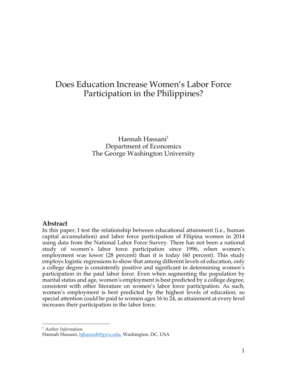# Does Education Increase Women's Labor Force Participation in the Philippines?

Hannah Hassani $<sup>1</sup>$ </sup> Department of Economics The George Washington University

## **Abstract**

In this paper, I test the relationship between educational attainment (i.e., human capital accumulation) and labor force participation of Filipina women in 2014 using data from the National Labor Force Survey. There has not been a national study of women's labor force participation since 1996, when women's employment was lower (28 percent) than it is today (60 percent). This study employs logistic regressions to show that among different levels of education, only a college degree is consistently positive and significant in determining women's participation in the paid labor force. Even when segmenting the population by marital status and age, women's employment is best predicted by a college degree, consistent with other literature on women's labor force participation. As such, women's employment is best predicted by the highest levels of education, so special attention could be paid to women ages 16 to 24, as attainment at every level increases their participation in the labor force.

 <sup>1</sup> *Author Information*

Hannah Hassani, hihannah@gwu.edu, Washington, DC, USA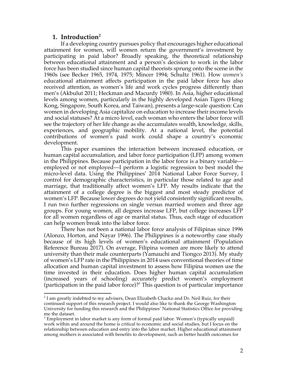### **1. Introduction2**

If a developing country pursues policy that encourages higher educational attainment for women, will women return the government's investment by participating in paid labor? Broadly speaking, the theoretical relationship between educational attainment and a person's decision to work in the labor force has been studied since human capital theorists sprung onto the scene in the 1960s (see Becker 1965, 1974, 1975; Mincer 1994; Schultz 1961). How *women's*  educational attainment affects participation in the paid labor force has also received attention, as women's life and work cycles progress differently than men's (Akbulut 2011; Heckman and Macurdy 1980). In Asia, higher educational levels among women, particularly in the highly developed Asian Tigers (Hong Kong, Singapore, South Korea, and Taiwan), presents a large-scale question: Can women in developing Asia capitalize on education to increase their income levels and social statuses? At a micro level, each woman who enters the labor force will see the trajectory of her life change as she accumulates wealth, knowledge, skills, experiences, and geographic mobility. At a national level, the potential contributions of women's paid work could shape a country's economic development.

This paper examines the interaction between increased education, or human capital accumulation, and labor force participation (LFP) among women in the Philippines. Because participation in the labor force is a binary variable employed or not employed—I perform a logistic regression to best model the micro-level data. Using the Philippines' 2014 National Labor Force Survey, I control for demographic characteristics, in particular those related to age and marriage, that traditionally affect women's LFP. My results indicate that the attainment of a college degree is the biggest and most steady predictor of women's LFP. Because lower degrees do not yield consistently significant results, I run two further regressions on single versus married women and three age groups. For young women, all degrees increase LFP, but college increases LFP for all women regardless of age or marital status. Thus, each stage of education can help women break into the labor force.

There has not been a national labor force analysis of Filipinas since 1996 (Alonzo, Horton, and Nayar 1996). The Philippines is a noteworthy case study because of its high levels of women's educational attainment (Population Reference Bureau 2017). On average, Filipina women are more likely to attend university than their male counterparts (Yamauchi and Tiongco 2013). My study of women's LFP rate in the Philippines in 2014 uses conventional theories of time allocation and human capital investment to assess how Filipina women use the time invested in their education. Does higher human capital accumulation (increased years of schooling) accurately predict women's employment (participation in the paid labor force)?<sup>3</sup> This question is of particular importance

<sup>&</sup>lt;sup>2</sup> I am greatly indebted to my advisers, Dean Elizabeth Chacko and Dr. Neil Ruiz, for their continued support of this research project. I would also like to thank the George Washington University for funding this research and the Philippines' National Statistics Office for providing me the dataset.

 $3$  Employment in labor market is any form of formal paid labor. Women's (typically unpaid) work within and around the home is critical to economic and social studies, but I focus on the relationship between education and entry into the labor market. Higher educational attainment among mothers is associated with benefits to development, such as better health outcomes for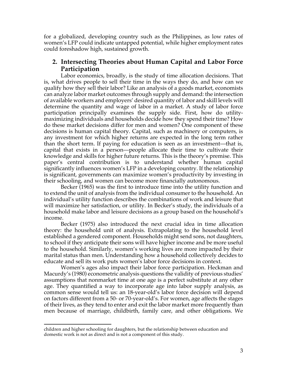for a globalized, developing country such as the Philippines, as low rates of women's LFP could indicate untapped potential, while higher employment rates could foreshadow high, sustained growth.

## **2. Intersecting Theories about Human Capital and Labor Force Participation**

Labor economics, broadly, is the study of time allocation decisions. That is, what drives people to sell their time in the ways they do, and how can we qualify how they sell their labor? Like an analysis of a goods market, economists can analyze labor market outcomes through supply and demand: the intersection of available workers and employers' desired quantity of labor and skill levels will determine the quantity and wage of labor in a market. A study of labor force participation principally examines the supply side. First, how do utilitymaximizing individuals and households decide how they spend their time? How do these market decisions differ for men and women? One component of these decisions is human capital theory. Capital, such as machinery or computers, is any investment for which higher returns are expected in the long term rather than the short term. If paying for education is seen as an investment—that is, capital that exists in a person—people allocate their time to cultivate their knowledge and skills for higher future returns. This is the theory's premise. This paper's central contribution is to understand whether human capital significantly influences women's LFP in a developing country. If the relationship is significant, governments can maximize women's productivity by investing in their schooling, and women can become more financially autonomous.

Becker (1965) was the first to introduce time into the utility function and to extend the unit of analysis from the individual consumer to the household. An individual's utility function describes the combinations of work and leisure that will maximize her satisfaction, or utility. In Becker's study, the individuals of a household make labor and leisure decisions as a group based on the household's income.

Becker (1975) also introduced the next crucial idea in time allocation theory: the household unit of analysis. Extrapolating to the household level established a gendered component. Households might send sons, not daughters, to school if they anticipate their sons will have higher income and be more useful to the household. Similarly, women's working lives are more impacted by their marital status than men. Understanding how a household collectively decides to educate and sell its work puts women's labor force decisions in context.

Women's ages also impact their labor force participation. Heckman and Macurdy's (1980) econometric analysis questions the validity of previous studies' assumptions that nonmarket time at one age is a perfect substitute at any other age. They quantified a way to incorporate age into labor supply analysis, as common sense would tell us: an 18-year-old's labor force decision will depend on factors different from a 50- or 70-year-old's. For women, age affects the stages of their lives, as they tend to enter and exit the labor market more frequently than men because of marriage, childbirth, family care, and other obligations. We

 children and higher schooling for daughters, but the relationship between education and domestic work is not as direct and is not a component of this study.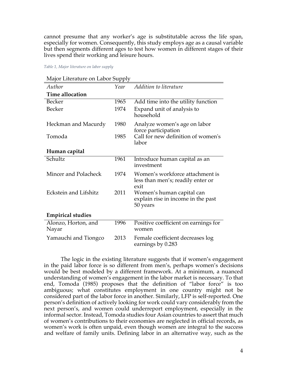cannot presume that any worker's age is substitutable across the life span, especially for women. Consequently, this study employs age as a causal variable but then segments different ages to test how women in different stages of their lives spend their working and leisure hours.

*Table 1, Major literature on labor supply*

| Major Literature on Labor Supply |  |  |  |  |
|----------------------------------|--|--|--|--|
|----------------------------------|--|--|--|--|

| Author                       | Year | Addition to literature                                                       |
|------------------------------|------|------------------------------------------------------------------------------|
| <b>Time allocation</b>       |      |                                                                              |
| Becker                       | 1965 | Add time into the utility function                                           |
| <b>Becker</b>                | 1974 | Expand unit of analysis to<br>household                                      |
| Heckman and Macurdy          | 1980 | Analyze women's age on labor<br>force participation                          |
| Tomoda                       | 1985 | Call for new definition of women's<br>labor                                  |
| Human capital                |      |                                                                              |
| Schultz                      | 1961 | Introduce human capital as an<br>investment                                  |
| Mincer and Polacheck         | 1974 | Women's workforce attachment is<br>less than men's; readily enter or<br>exit |
| <b>Eckstein and Lifshitz</b> | 2011 | Women's human capital can<br>explain rise in income in the past<br>50 years  |
| <b>Empirical studies</b>     |      |                                                                              |
| Alonzo, Horton, and<br>Nayar | 1996 | Positive coefficient on earnings for<br>women                                |
| Yamauchi and Tiongco         | 2013 | Female coefficient decreases log<br>earnings by 0.283                        |

The logic in the existing literature suggests that if women's engagement in the paid labor force is so different from men's, perhaps women's decisions would be best modeled by a different framework. At a minimum, a nuanced understanding of women's engagement in the labor market is necessary. To that end, Tomoda (1985) proposes that the definition of "labor force" is too ambiguous; what constitutes employment in one country might not be considered part of the labor force in another. Similarly, LFP is self-reported. One person's definition of actively looking for work could vary considerably from the next person's, and women could underreport employment, especially in the informal sector. Instead, Tomoda studies four Asian countries to assert that much of women's contributions to their economies are neglected in official records, as women's work is often unpaid, even though women are integral to the success and welfare of family units. Defining labor in an alternative way, such as the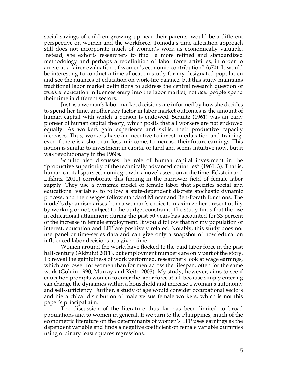social savings of children growing up near their parents, would be a different perspective on women and the workforce. Tomoda's time allocation approach still does not incorporate much of women's work as economically valuable. Instead, she exhorts researchers to find "a more refined and standardized methodology and perhaps a redefinition of labor force activities, in order to arrive at a fairer evaluation of women's economic contribution" (670). It would be interesting to conduct a time allocation study for my designated population and see the nuances of education on work-life balance, but this study maintains traditional labor market definitions to address the central research question of *whether* education influences entry into the labor market, not *how* people spend their time in different sectors.

Just as a woman's labor market decisions are informed by how she decides to spend her time, another key factor in labor market outcomes is the amount of human capital with which a person is endowed. Schultz (1961) was an early pioneer of human capital theory, which posits that all workers are not endowed equally. As workers gain experience and skills, their productive capacity increases. Thus, workers have an incentive to invest in education and training, even if there is a short-run loss in income, to increase their future earnings. This notion is similar to investment in capital or land and seems intuitive now, but it was revolutionary in the 1960s.

Schultz also discusses the role of human capital investment in the "productive superiority of the technically advanced countries" (1961, 3). That is, human capital spurs economic growth, a novel assertion at the time. Eckstein and Lifshitz (2011) corroborate this finding in the narrower field of female labor supply. They use a dynamic model of female labor that specifies social and educational variables to follow a state-dependent discrete stochastic dynamic process, and their wages follow standard Mincer and Ben-Porath functions. The model's dynamism arises from a woman's choice to maximize her present utility by working or not, subject to the budget constraint. The study finds that the rise in educational attainment during the past 50 years has accounted for 33 percent of the increase in female employment. It would follow that for my population of interest, education and LFP are positively related. Notably, this study does not use panel or time-series data and can give only a snapshot of how education influenced labor decisions at a given time.

Women around the world have flocked to the paid labor force in the past half-century (Akbulut 2011), but employment numbers are only part of the story. To reveal the gainfulness of work performed, researchers look at wage earnings, which are lower for women than for men across the lifespan, often for the same work (Goldin 1990; Murray and Keith 2003). My study, however, aims to see if education prompts women to enter the labor force at all, because simply entering can change the dynamics within a household and increase a woman's autonomy and self-sufficiency. Further, a study of age would consider occupational sectors and hierarchical distribution of male versus female workers, which is not this paper's principal aim.

The discussion of the literature thus far has been limited to broad populations and to women in general. If we turn to the Philippines, much of the econometric literature on the determinants of women's LFP uses earnings as the dependent variable and finds a negative coefficient on female variable dummies using ordinary least squares regressions.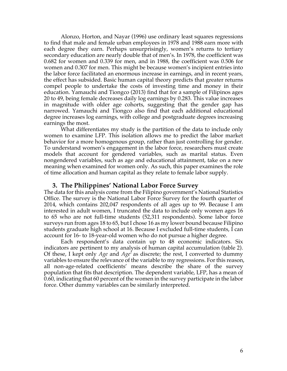Alonzo, Horton, and Nayar (1996) use ordinary least squares regressions to find that male and female urban employees in 1978 and 1988 earn more with each degree they earn. Perhaps unsurprisingly, women's returns to tertiary secondary education are nearly double that of men's. In 1978, the coefficient was 0.682 for women and 0.339 for men, and in 1988, the coefficient was 0.506 for women and 0.307 for men. This might be because women's incipient entries into the labor force facilitated an enormous increase in earnings, and in recent years, the effect has subsided. Basic human capital theory predicts that greater returns compel people to undertake the costs of investing time and money in their education. Yamauchi and Tiongco (2013) find that for a sample of Filipinos ages 20 to 49, being female decreases daily log earnings by 0.283. This value increases in magnitude with older age cohorts, suggesting that the gender gap has narrowed. Yamauchi and Tiongco also find that each additional educational degree increases log earnings, with college and postgraduate degrees increasing earnings the most.

What differentiates my study is the partition of the data to include only women to examine LFP. This isolation allows me to predict the labor market behavior for a more homogenous group, rather than just controlling for gender. To understand women's engagement in the labor force, researchers must create models that account for gendered variables, such as marital status. Even nongendered variables, such as age and educational attainment, take on a new meaning when examined for women only. As such, this paper examines the role of time allocation and human capital as they relate to female labor supply.

#### **3. The Philippines' National Labor Force Survey**

The data for this analysis come from the Filipino government's National Statistics Office. The survey is the National Labor Force Survey for the fourth quarter of 2014, which contains 202,047 respondents of all ages up to 99. Because I am interested in adult women, I truncated the data to include only women ages 16 to 65 who are not full-time students (52,311 respondents). Some labor force surveys run from ages 18 to 65, but I chose 16 as my lower bound because Filipino students graduate high school at 16. Because I excluded full-time students, I can account for 16- to 18-year-old women who do not pursue a higher degree.

Each respondent's data contain up to 48 economic indicators. Six indicators are pertinent to my analysis of human capital accumulation (table 2). Of these, I kept only *Age* and *Age<sup>2</sup>* as discrete; the rest, I converted to dummy variables to ensure the relevance of the variable to my regressions. For this reason, all non-age-related coefficients' means describe the share of the survey population that fits that description. The dependent variable, LFP, has a mean of 0.60, indicating that 60 percent of the women in the survey participate in the labor force. Other dummy variables can be similarly interpreted.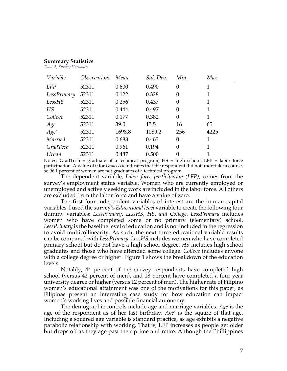#### **Summary Statistics**

*Table 2, Survey Variables*

| Variable    | <i><b>Observations</b></i> | Mean   | Std. Dev. | Min.           | Max. |
|-------------|----------------------------|--------|-----------|----------------|------|
| <b>LFP</b>  | 52311                      | 0.600  | 0.490     | $\theta$       |      |
| LessPrimary | 52311                      | 0.122  | 0.328     | $\theta$       |      |
| LessHS      | 52311                      | 0.256  | 0.437     | $\theta$       |      |
| HS          | 52311                      | 0.444  | 0.497     | $\theta$       | 1    |
| College     | 52311                      | 0.177  | 0.382     | $\theta$       |      |
| Age         | 52311                      | 39.0   | 13.5      | 16             | 65   |
| $Age^2$     | 52311                      | 1698.8 | 1089.2    | 256            | 4225 |
| Married     | 52311                      | 0.688  | 0.463     | $\theta$       |      |
| GradTech    | 52311                      | 0.961  | 0.194     | $\overline{0}$ |      |
| Urban       | 52311                      | 0.487  | 0.500     | 0              |      |

Notes: GradTech = graduate of a technical program;  $HS = high school$ ;  $LFP = labor force$ participation. A value of 0 for *GradTech* indicates that the respondent did not undertake a course, so 96.1 percent of women are not graduates of a technical program.

The dependent variable, *Labor force participation (LFP)*, comes from the survey's employment status variable. Women who are currently employed or unemployed and actively seeking work are included in the labor force. All others are excluded from the labor force and have a value of zero.

The first four independent variables of interest are the human capital variables. I used the survey's *Educational level* variable to create the following four dummy variables: *LessPrimary, LessHS, HS, and College*. *LessPrimary* includes women who have completed some or no primary (elementary) school. *LessPrimary* is the baseline level of education and is not included in the regression to avoid multicollinearity. As such, the next three educational variable results can be compared with *LessPrimary*. *LessHS* includes women who have completed primary school but do not have a high school degree. *HS* includes high school graduates and those who have attended some college. *College* includes anyone with a college degree or higher. Figure 1 shows the breakdown of the education levels.

Notably, 44 percent of the survey respondents have completed high school (versus 42 percent of men), and 18 percent have completed a four-year university degree or higher(versus 12 percent of men). The higher rate of Filipino women's educational attainment was one of the motivations for this paper, as Filipinas present an interesting case study for how education can impact women's working lives and possible financial autonomy.

The demographic controls include age and marriage variables. *Age* is the age of the respondent as of her last birthday. *Age<sup>2</sup>* is the square of that age. Including a squared age variable is standard practice, as age exhibits a negative parabolic relationship with working. That is, LFP increases as people get older but drops off as they age past their prime and retire. Although the Phillippines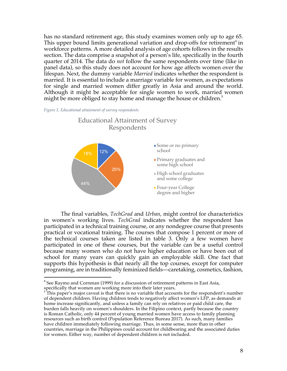has no standard retirement age, this study examines women only up to age 65. This upper bound limits generational variation and drop-offs for retirement<sup>4</sup> in workforce patterns. A more detailed analysis of age cohorts follows in the results section. The data comprise a snapshot of a person's life, specifically in the fourth quarter of 2014. The data do *not* follow the same respondents over time (like in panel data), so this study does not account for how age affects women over the lifespan. Next, the dummy variable *Married* indicates whether the respondent is married. It is essential to include a marriage variable for women, as expectations for single and married women differ greatly in Asia and around the world. Although it might be acceptable for single women to work, married women might be more obliged to stay home and manage the house or children.<sup>5</sup>





Educational Attainment of Survey

The final variables, *TechGrad* and *Urban*, might control for characteristics in women's working lives. *TechGrad* indicates whether the respondent has participated in a technical training course, or any nondegree course that presents practical or vocational training. The courses that compose 1 percent or more of the technical courses taken are listed in table 3. Only a few women have participated in one of these courses, but the variable can be a useful control because many women who do not have higher education or have been out of school for many years can quickly gain an employable skill. One fact that supports this hypothesis is that nearly all the top courses, except for computer programing, are in traditionally feminized fields—caretaking, cosmetics, fashion,

 $4$  See Raymo and Cornman (1999) for a discussion of retirement patterns in East Asia, specifically that women are working more into their later years.

 $5<sup>†</sup>$ This paper's major caveat is that there is no variable that accounts for the respondent's number of dependent children. Having children tends to negatively affect women's LFP, as demands at home increase significantly, and unless a family can rely on relatives or paid child care, the burden falls heavily on women's shoulders. In the Filipino context, partly because the country is Roman Catholic, only 44 percent of young married women have access to family planning resources such as birth control (Population Reference Bureau 2017). As such, many families have children immediately following marriage. Thus, in some sense, more than in other countries, marriage in the Philippines could account for childbearing and the associated duties for women. Either way, number of dependent children is not included.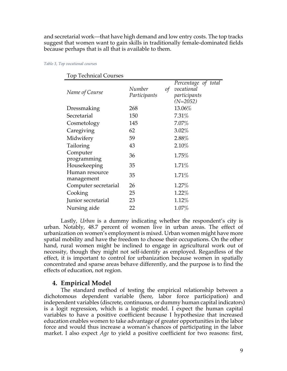and secretarial work—that have high demand and low entry costs. The top tracks suggest that women want to gain skills in traditionally female-dominated fields because perhaps that is all that is available to them.

|  | Table 3, Top vocational courses |  |
|--|---------------------------------|--|
|  |                                 |  |

| 1 U V<br>Technical Courses   |                                      |                                                                 |
|------------------------------|--------------------------------------|-----------------------------------------------------------------|
| Name of Course               | Number<br>$\sigma f$<br>Participants | Percentage of total<br>vocational<br>participants<br>$(N=2052)$ |
| Dressmaking                  | 268                                  | 13.06%                                                          |
| Secretarial                  | 150                                  | 7.31%                                                           |
| Cosmetology                  | 145                                  | $7.07\%$                                                        |
| Caregiving                   | 62                                   | $3.02\%$                                                        |
| Midwifery                    | 59                                   | 2.88%                                                           |
| Tailoring                    | 43                                   | 2.10%                                                           |
| Computer<br>programming      | 36                                   | 1.75%                                                           |
| Housekeeping                 | 35                                   | 1.71%                                                           |
| Human resource<br>management | 35                                   | 1.71%                                                           |
| Computer secretarial         | 26                                   | 1.27%                                                           |
| Cooking                      | 25                                   | 1.22%                                                           |
| Junior secretarial           | 23                                   | 1.12%                                                           |
| Nursing aide                 | 22                                   | $1.07\%$                                                        |

Top Technical Courses

Lastly, *Urban* is a dummy indicating whether the respondent's city is urban. Notably, 48.7 percent of women live in urban areas. The effect of urbanization on women's employment is mixed. Urban women might have more spatial mobility and have the freedom to choose their occupations. On the other hand, rural women might be inclined to engage in agricultural work out of necessity, though they might not self-identify as employed. Regardless of the effect, it is important to control for urbanization because women in spatially concentrated and sparse areas behave differently, and the purpose is to find the effects of education, not region.

## **4. Empirical Model**

The standard method of testing the empirical relationship between a dichotomous dependent variable (here, labor force participation) and independent variables (discrete, continuous, or dummy human capital indicators) is a logit regression, which is a logistic model. I expect the human capital variables to have a positive coefficient because I hypothesize that increased education enables women to take advantage of greater opportunities in the labor force and would thus increase a woman's chances of participating in the labor market. I also expect *Age* to yield a positive coefficient for two reasons: first,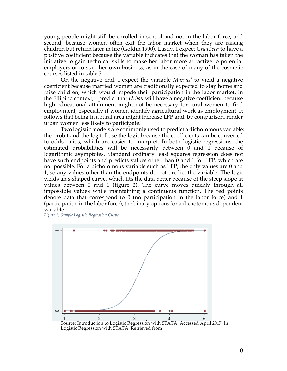young people might still be enrolled in school and not in the labor force, and second, because women often exit the labor market when they are raising children but return later in life (Goldin 1990). Lastly, I expect *GradTech* to have a positive coefficient because the variable indicates that the woman has taken the initiative to gain technical skills to make her labor more attractive to potential employers or to start her own business, as in the case of many of the cosmetic courses listed in table 3.

On the negative end, I expect the variable *Married* to yield a negative coefficient because married women are traditionally expected to stay home and raise children, which would impede their participation in the labor market. In the Filipino context, I predict that *Urban* will have a negative coefficient because high educational attainment might not be necessary for rural women to find employment, especially if women identify agricultural work as employment. It follows that being in a rural area might increase LFP and, by comparison, render urban women less likely to participate.

Two logistic models are commonly used to predict a dichotomous variable: the probit and the logit. I use the logit because the coefficients can be converted to odds ratios, which are easier to interpret. In both logistic regressions, the estimated probabilities will be necessarily between 0 and 1 because of logarithmic asymptotes. Standard ordinary least squares regression does not have such endpoints and predicts values other than 0 and 1 for LFP, which are not possible. For a dichotomous variable such as LFP, the only values are 0 and 1, so any values other than the endpoints do not predict the variable. The logit yields an s-shaped curve, which fits the data better because of the steep slope at values between 0 and 1 (figure 2). The curve moves quickly through all impossible values while maintaining a continuous function. The red points denote data that correspond to 0 (no participation in the labor force) and 1 (participation in the labor force), the binary options for a dichotomous dependent variable.

*Figure 2, Sample Logistic Regression Curve*



Logistic Regression with STATA. Retrieved from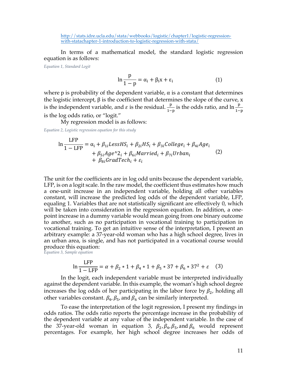http://stats.idre.ucla.edu/stata/webbooks/logistic/chapter1/logistic-regressionwith-statachapter-1-introduction-to-logistic-regression-with-stata/

In terms of a mathematical model, the standard logistic regression equation is as follows:

*Equation 1, Standard Logit*

$$
\ln \frac{p}{1-p} = \alpha_i + \beta_i x + \varepsilon_i \tag{1}
$$

where p is probability of the dependent variable,  $\alpha$  is a constant that determines the logistic intercept,  $β$  is the coefficient that determines the slope of the curve, x is the independent variable, and  $\varepsilon$  is the residual.  $\frac{p}{1-p}$  is the odds ratio, and  $\ln \frac{p}{1-p}$ is the log odds ratio, or "logit."

My regression model is as follows:

*Equation 2, Logistic regression equation for this study*

$$
\ln \frac{\text{LFP}}{1 - \text{LFP}} = \alpha_i + \beta_{1i} \text{LessHS}_i + \beta_{2i} \text{HS}_i + \beta_{3i} \text{College}_i + \beta_{4i} \text{Age}_i + \beta_{5i} \text{Age}^2 \cdot 2_i + \beta_{6i} \text{Married}_i + \beta_{7i} \text{Urban}_i \tag{2}
$$
\n
$$
+ \beta_{8i} \text{GradTech}_i + \varepsilon_i
$$

The unit for the coefficients are in log odd units because the dependent variable, LFP, is on a logit scale. In the raw model, the coefficient thus estimates how much a one-unit increase in an independent variable, holding all other variables constant, will increase the predicted log odds of the dependent variable, LFP, equaling 1. Variables that are not statistically significant are effectively 0, which will be taken into consideration in the regression equation. In addition, a onepoint increase in a dummy variable would mean going from one binary outcome to another, such as no participation in vocational training to participation in vocational training. To get an intuitive sense of the interpretation, I present an arbitrary example: a 37-year-old woman who has a high school degree, lives in an urban area, is single, and has not participated in a vocational course would produce this equation:

*Equation 3, Sample equation*

$$
\ln \frac{\text{LFP}}{1 - \text{LFP}} = \alpha + \beta_2 * 1 + \beta_4 * 1 + \beta_5 * 37 + \beta_6 * 37^2 + \varepsilon \quad (3)
$$

In the logit, each independent variable must be interpreted individually against the dependent variable. In this example, the woman's high school degree increases the log odds of her participating in the labor force by  $\beta_2$ , holding all other variables constant.  $\beta_4$ ,  $\beta_5$ , and  $\beta_6$  can be similarly interpreted.

To ease the interpretation of the logit regression, I present my findings in odds ratios. The odds ratio reports the percentage increase in the probability of the dependent variable at any value of the independent variable. In the case of the 37-year-old woman in equation 3,  $\beta_2$ ,  $\beta_4$ ,  $\beta_5$ , and  $\beta_6$  would represent percentages. For example, her high school degree increases her odds of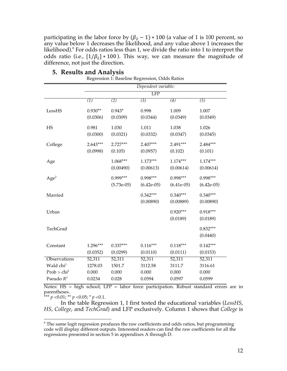participating in the labor force by  $(\beta_2 - 1) * 100$  (a value of 1 is 100 percent, so any value below 1 decreases the likelihood, and any value above 1 increases the likelihood). <sup>6</sup> For odds ratios less than 1, we divide the ratio into 1 to interpret the odds ratio (i.e.,  $[1/\beta_2] * 100$ ). This way, we can measure the magnitude of difference, not just the direction.

|                         | Dependent variable:    |                          |                            |                            |                            |
|-------------------------|------------------------|--------------------------|----------------------------|----------------------------|----------------------------|
|                         | LFP                    |                          |                            |                            |                            |
|                         | $\overline{(1)}$       | (2)                      | (3)                        | $\overline{(4)}$           | $\overline{(5)}$           |
| LessHS                  | $0.930**$<br>(0.0306)  | $0.943*$<br>(0.0309)     | 0.998<br>(0.0344)          | 1.009<br>(0.0349)          | 1.007<br>(0.0349)          |
| HS                      | 0.981<br>(0.0300)      | 1.030<br>(0.0321)        | 1.011<br>(0.0332)          | 1.038<br>(0.0347)          | 1.026<br>(0.0345)          |
| College                 | $2.643***$<br>(0.0998) | $2.727***$<br>(0.105)    | $2.407***$<br>(0.0957)     | 2.491***<br>(0.102)        | 2.484***<br>(0.101)        |
| Age                     |                        | $1.068***$<br>(0.00490)  | $1.173***$<br>(0.00613)    | $1.174***$<br>(0.00614)    | $1.174***$<br>(0.00614)    |
| Age <sup>2</sup>        |                        | 0.999***<br>$(5.73e-05)$ | $0.998***$<br>$(6.42e-05)$ | $0.998***$<br>$(6.41e-05)$ | $0.998***$<br>$(6.42e-05)$ |
| Married                 |                        |                          | $0.342***$<br>(0.00890)    | $0.340***$<br>(0.00889)    | $0.340***$<br>(0.00890)    |
| Urban                   |                        |                          |                            | $0.920***$<br>(0.0189)     | $0.918***$<br>(0.0189)     |
| TechGrad                |                        |                          |                            |                            | $0.832***$<br>(0.0440)     |
| Constant                | $1.296***$<br>(0.0352) | $0.337***$<br>(0.0299)   | $0.116***$<br>(0.0110)     | $0.118***$<br>(0.0111)     | $0.142***$<br>(0.0153)     |
| Observations            | 52,311                 | 52,311                   | 52,311                     | 52,311                     | 52,311                     |
| Wald chi <sup>2</sup>   | 1278.03                | 1501.7                   | 3112.58                    | 3111.7                     | 3116.61                    |
| Prob > chi <sup>2</sup> | 0.000                  | 0.000                    | 0.000                      | 0.000                      | 0.000                      |
| Pseudo $R^2$            | 0.0234                 | 0.028                    | 0.0594                     | 0.0597                     | 0.0599                     |

#### **5. Results and Analysis** Regression 1: Baseline Regression, Odds Ratios

Notes: HS = high school; LFP = labor force participation. Robust standard errors are in parentheses.

\*\*\* *p* <0.01; \*\* *p* <0.05; \* *p* <0.1.

In the table Regression 1, I first tested the educational variables (*LessHS*, *HS*, *College*, and *TechGrad*) and LFP exclusively. Column 1 shows that *College* is

 $6$  The same logit regression produces the raw coefficients and odds ratios, but programming code will display different outputs. Interested readers can find the raw coefficients for all the regressions presented in section 5 in appendixes A through D.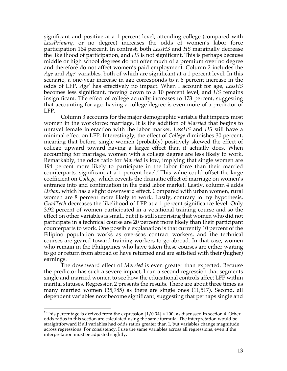significant and positive at a 1 percent level; attending college (compared with *LessPrimary*, or no degree) increases the odds of women's labor force participation 164 percent. In contrast, both *LessHS* and *HS* marginally decrease the likelihood of participation, and *HS* is not significant. This is perhaps because middle or high school degrees do not offer much of a premium over no degree and therefore do not affect women's paid employment. Column 2 includes the *Age* and *Age<sup>2</sup>* variables, both of which are significant at a 1 percent level. In this scenario, a one-year increase in age corresponds to a 6 percent increase in the odds of LFP. *Age<sup>2</sup>* has effectively no impact. When I account for age, *LessHS* becomes less significant, moving down to a 10 percent level, and *HS* remains insignificant. The effect of college actually increases to 173 percent, suggesting that accounting for age, having a college degree is even more of a predictor of LFP.

Column 3 accounts for the major demographic variable that impacts most women in the workforce: marriage. It is the addition of *Married* that begins to unravel female interaction with the labor market. *LessHS* and *HS* still have a minimal effect on LFP. Interestingly, the effect of *College* diminishes 30 percent, meaning that before, single women (probably) positively skewed the effect of college upward toward having a larger effect than it actually does. When accounting for marriage, women with a college degree are less likely to work. Remarkably, the odds ratio for *Married* is low, implying that single women are 194 percent more likely to participate in the labor force than their married counterparts, significant at a 1 percent level.<sup>7</sup> This value could offset the large coefficient on *College*, which reveals the dramatic effect of marriage on women's entrance into and continuation in the paid labor market. Lastly, column 4 adds *Urban*, which has a slight downward effect. Compared with urban women, rural women are 8 percent more likely to work. Lastly, contrary to my hypothesis, *GradTech* decreases the likelihood of LFP at a 1 percent significance level. Only 3.92 percent of women participated in a vocational training course and so the effect on other variables is small, but it is still surprising that women who did not participate in a technical course are 20 percent more likely than their participant counterparts to work. One possible explanation is that currently 10 percent of the Filipino population works as overseas contract workers, and the technical courses are geared toward training workers to go abroad. In that case, women who remain in the Philippines who have taken these courses are either waiting to go or return from abroad or have returned and are satisfied with their (higher) earnings.

The downward effect of *Married* is even greater than expected. Because the predictor has such a severe impact, I run a second regression that segments single and married women to see how the educational controls affect LFP within marital statuses. Regression 2 presents the results. There are about three times as many married women (35,985) as there are single ones (11,517). Second, all dependent variables now become significant, suggesting that perhaps single and

 

<sup>&</sup>lt;sup>7</sup> This percentage is derived from the expression  $[1/0.34] * 100$ , as discussed in section 4. Other odds ratios in this section are calculated using the same formula. The interpretation would be straightforward if all variables had odds ratios greater than 1, but variables change magnitude across regressions. For consistency, I use the same variables across all regressions, even if the interpretation must be adjusted slightly.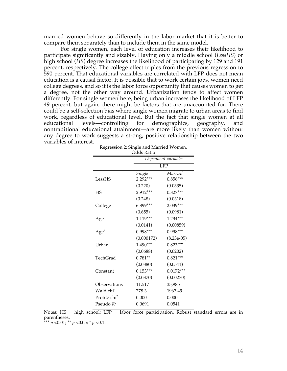married women behave so differently in the labor market that it is better to compare them separately than to include them in the same model.

For single women, each level of education increases their likelihood to participate significantly and sizably. Having only a middle school (*LessHS*) or high school (*HS*) degree increases the likelihood of participating by 129 and 191 percent, respectively. The college effect triples from the previous regression to 590 percent. That educational variables are correlated with LFP does not mean education is a causal factor. It is possible that to work certain jobs, women need college degrees, and so it is the labor force opportunity that causes women to get a degree, not the other way around. Urbanization tends to affect women differently. For single women here, being urban increases the likelihood of LFP 49 percent, but again, there might be factors that are unaccounted for. There could be a self-selection bias where single women migrate to urban areas to find work, regardless of educational level. But the fact that single women at all educational levels—controlling for demographics, geography, and nontraditional educational attainment—are more likely than women without any degree to work suggests a strong, positive relationship between the two variables of interest.

|                         | Dependent variable: |              |  |  |
|-------------------------|---------------------|--------------|--|--|
|                         | LFP                 |              |  |  |
|                         | Single              | Married      |  |  |
| LessHS                  | $2.292***$          | $0.856***$   |  |  |
|                         | (0.220)             | (0.0335)     |  |  |
| <b>HS</b>               | 2.912***            | $0.827***$   |  |  |
|                         | (0.248)             | (0.0318)     |  |  |
| College                 | 6.899***            | 2.039***     |  |  |
|                         | (0.655)             | (0.0981)     |  |  |
| Age                     | $1.119***$          | 1.234***     |  |  |
|                         | (0.0141)            | (0.00859)    |  |  |
| Age <sup>2</sup>        | $0.998***$          | $0.998***$   |  |  |
|                         | (0.000172)          | $(8.23e-05)$ |  |  |
| Urban                   | 1.490***            | $0.823***$   |  |  |
|                         | (0.0688)            | (0.0202)     |  |  |
| TechGrad                | $0.781**$           | $0.821***$   |  |  |
|                         | (0.0880)            | (0.0541)     |  |  |
| Constant                | $0.153***$          | $0.0172***$  |  |  |
|                         | (0.0370)            | (0.00270)    |  |  |
| Observations            | 11,517              | 35,985       |  |  |
| Wald chi <sup>2</sup>   | 778.3               | 1967.49      |  |  |
| Prob > chi <sup>2</sup> | 0.000               | 0.000        |  |  |
| Pseudo $R^2$            | 0.0691              | 0.0541       |  |  |

| Regression 2: Single and Married Women, |
|-----------------------------------------|
| Odds Ratio                              |

Notes: HS = high school; LFP = labor force participation. Robust standard errors are in parentheses.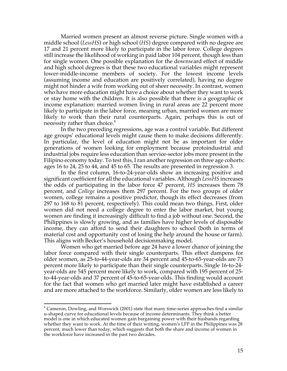Married women present an almost reverse picture. Single women with a middle school (*LessHS*) or high school (*HS*) degree compared with no degree are 17 and 21 percent more likely to participate in the labor force. College degrees still increase the likelihood of working in paid labor 104 percent, though less than for single women. One possible explanation for the downward effect of middle and high school degrees is that these two educational variables might represent lower-middle-income members of society. For the lowest income levels (assuming income and education are positively correlated), having no degree might not hinder a wife from working out of sheer necessity. In contrast, women who have more education might have a choice about whether they want to work or stay home with the children. It is also possible that there is a geographic or income explanation: married women living in rural areas are 22 percent more likely to participate in the labor force, meaning urban, married women are more likely to work than their rural counterparts. Again, perhaps this is out of necessity rather than choice.<sup>8</sup>

In the two preceding regressions, age was a control variable. But different age groups' educational levels might cause them to make decisions differently. In particular, the level of education might not be as important for older generations of women looking for employment because protoindustrial and industrial jobs require less education than service-sector jobs more present in the Filipino economy today. To test this, I ran another regression on three age cohorts: ages 16 to 24, 25 to 44, and 45 to 65. The results are presented in regression 3.

In the first column, 16-to-24-year-olds show an increasing positive and significant coefficient for all the educational variables. Although *LessHS* increases the odds of participating in the labor force 47 percent, *HS* increases them 78 percent, and *College* increases them 297 percent. For the two groups of older women, college remains a positive predictor, though its effect decreases (from 297 to 168 to 81 percent, respectively). This could mean two things. First, older women did not need a college degree to enter the labor market, but young women are finding it increasingly difficult to find a job without one. Second, the Philippines is slowly growing, and as families have higher levels of disposable income, they can afford to send their daughters to school (both in terms of material cost and opportunity cost of losing the help around the house or farm). This aligns with Becker's household decisionmaking model.

Women who get married before age 24 have a lower chance of joining the labor force compared with their single counterparts. This effect dampens for older women, as 25-to-44-year-olds are 34 percent and 45-to-65-year-olds are 73 percent more likely to participate than their single counterparts. Single 16-to-24 year-olds are 545 percent more likely to work, compared with 195 percent of 25 to-44-year-olds and 37 percent of 45-to-65-year-olds. This finding would account for the fact that women who get married later might have established a career and are more attached to the workforce. Similarly, older women are less likely to

 $8$  Cameron, Dowling, and Worswick (2001) state that many time-series approaches find a similar u-shaped curve for educational levels because of income determinants. They think a better model is one in which educated women gain bargaining power with their husbands regarding whether they want to work. At the time of their writing, women's LFP in the Philippines was 28 percent, much lower than today, which suggests that both the share and income of women in the workforce have increased in the past two decades.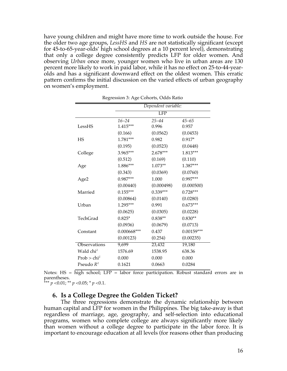have young children and might have more time to work outside the house. For the older two age groups, *LessHS* and *HS* are not statistically significant (except for 45-to-65-year-olds' high school degrees at a 10 percent level), demonstrating that only a college degree consistently predicts LFP for older women. And observing *Urban* once more, younger women who live in urban areas are 130 percent more likely to work in paid labor, while it has no effect on 25-to-44-yearolds and has a significant downward effect on the oldest women. This erratic pattern confirms the initial discussion on the varied effects of urban geography on women's employment.

|                       | Dependent variable: |                         |              |  |
|-----------------------|---------------------|-------------------------|--------------|--|
|                       |                     | $\overline{\text{LFP}}$ |              |  |
|                       | $16 - 24$           | $25 - 44$               | $45 - 65$    |  |
| LessHS                | 1.415***            | 0.996                   | 0.957        |  |
|                       | (0.166)             | (0.0562)                | (0.0453)     |  |
| <b>HS</b>             | $1.781***$          | 0.982                   | $0.917*$     |  |
|                       | (0.195)             | (0.0523)                | (0.0448)     |  |
| College               | 3.965***            | $2.678***$              | 1.813***     |  |
|                       | (0.512)             | (0.169)                 | (0.110)      |  |
| Age                   | 1.886***            | $1.073**$               | 1.387***     |  |
|                       | (0.343)             | (0.0369)                | (0.0760)     |  |
| Age2                  | $0.987***$          | 1.000                   | $0.997***$   |  |
|                       | (0.00440)           | (0.000498)              | (0.000500)   |  |
| Married               | $0.155***$          | $0.339***$              | $0.728***$   |  |
|                       | (0.00864)           | (0.0140)                | (0.0280)     |  |
| Urban                 | $1.295***$          | 0.991                   | $0.673***$   |  |
|                       | (0.0625)            | (0.0305)                | (0.0228)     |  |
| TechGrad              | $0.825*$            | $0.838**$               | $0.830**$    |  |
|                       | (0.0936)            | (0.0679)                | (0.0713)     |  |
| Constant              | $0.000668***$       | 0.437                   | $0.00159***$ |  |
|                       | (0.00123)           | (0.254)                 | (0.00235)    |  |
| Observations          | 9,699               | 23,432                  | 19,180       |  |
| Wald chi <sup>2</sup> | 1576.69             | 1538.95                 | 638.36       |  |
| $Prob > chi^2$        | 0.000               | 0.000                   | 0.000        |  |
| Pseudo $R^2$          | 0.1621              | 0.0663                  | 0.0284       |  |

Regression 3: Age Cohorts, Odds Ratio

Notes: HS = high school; LFP = labor force participation. Robust standard errors are in parentheses.

\*\*\* *p* <0.01; \*\* *p* <0.05; \* *p* <0.1.

#### **6. Is a College Degree the Golden Ticket?**

The three regressions demonstrate the dynamic relationship between human capital and LFP for women in the Philippines. The big take-away is that regardless of marriage, age, geography, and self-selection into educational programs, women who complete college are always significantly more likely than women without a college degree to participate in the labor force. It is important to encourage education at all levels (for reasons other than producing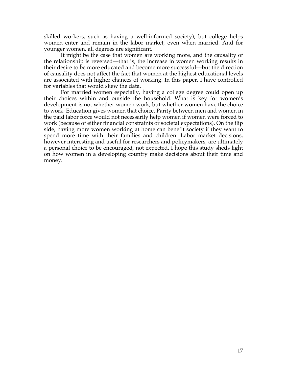skilled workers, such as having a well-informed society), but college helps women enter and remain in the labor market, even when married. And for younger women, all degrees are significant.

It might be the case that women are working more, and the causality of the relationship is reversed—that is, the increase in women working results in their desire to be more educated and become more successful—but the direction of causality does not affect the fact that women at the highest educational levels are associated with higher chances of working. In this paper, I have controlled for variables that would skew the data.

For married women especially, having a college degree could open up their choices within and outside the household. What is key for women's development is not whether women work, but whether women have the choice to work. Education gives women that choice. Parity between men and women in the paid labor force would not necessarily help women if women were forced to work (because of either financial constraints or societal expectations). On the flip side, having more women working at home can benefit society if they want to spend more time with their families and children. Labor market decisions, however interesting and useful for researchers and policymakers, are ultimately a personal choice to be encouraged, not expected. I hope this study sheds light on how women in a developing country make decisions about their time and money.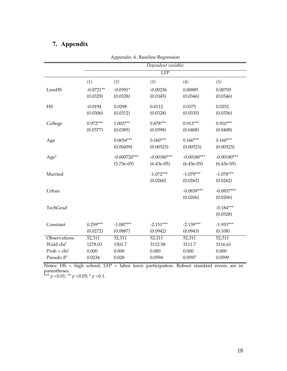## **7. Appendix**

|                         |                     | rependent in Buseline negression |               |               |               |
|-------------------------|---------------------|----------------------------------|---------------|---------------|---------------|
|                         | Dependent variable: |                                  |               |               |               |
|                         |                     |                                  | LFP           |               |               |
|                         | (1)                 | (2)                              | (3)           | (4)           | (5)           |
| LessHS                  | $-0.0721**$         | $-0.0591*$                       | $-0.00236$    | 0.00885       | 0.00705       |
|                         | (0.0329)            | (0.0328)                         | (0.0345)      | (0.0346)      | (0.0346)      |
| HS                      | $-0.0194$           | 0.0298                           | 0.0112        | 0.0375        | 0.0252        |
|                         | (0.0306)            | (0.0312)                         | (0.0328)      | (0.0335)      | (0.0336)      |
| College                 | $0.972***$          | $1.003***$                       | $0.878***$    | $0.913***$    | $0.910***$    |
|                         | (0.0377)            | (0.0385)                         | (0.0398)      | (0.0408)      | (0.0408)      |
| Age                     |                     | $0.0654***$                      | $0.160***$    | $0.160***$    | $0.160***$    |
|                         |                     | (0.00459)                        | (0.00523)     | (0.00523)     | (0.00523)     |
| Age <sup>2</sup>        |                     | $-0.000720***$                   | $-0.00180***$ | $-0.00180***$ | $-0.00180***$ |
|                         |                     | $(5.73e-05)$                     | $(6.43e-05)$  | $(6.43e-05)$  | $(6.43e-05)$  |
| Married                 |                     |                                  | $-1.072***$   | $-1.079***$   | $-1.078***$   |
|                         |                     |                                  | (0.0260)      | (0.0262)      | (0.0262)      |
| Urban                   |                     |                                  |               | $-0.0839***$  | $-0.0857***$  |
|                         |                     |                                  |               | (0.0206)      | (0.0206)      |
| TechGrad                |                     |                                  |               |               | $-0.184***$   |
|                         |                     |                                  |               |               | (0.0528)      |
| Constant                | $0.259***$          | $-1.087***$                      | $-2.151***$   | $-2.139***$   | $-1.953***$   |
|                         | (0.0272)            | (0.0887)                         | (0.0942)      | (0.0943)      | (0.108)       |
| Observations            | 52,311              | 52,311                           | 52,311        | 52,311        | 52,311        |
| Wald chi <sup>2</sup>   | 1278.03             | 1501.7                           | 3112.58       | 3111.7        | 3116.61       |
| Prob > chi <sup>2</sup> | 0.000               | 0.000                            | 0.000         | 0.000         | 0.000         |
| Pseudo $R^2$            | 0.0234              | 0.028                            | 0.0594        | 0.0597        | 0.0599        |

Appendix A: Baseline Regression

Notes: HS = high school; LFP = labor force participation. Robust standard errors are in parentheses.

\*\*\* *p* <0.01; \*\* *p* <0.05; \* *p* <0.1.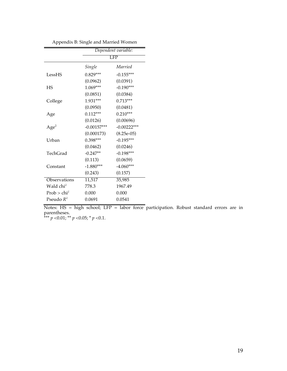|                       | Dependent variable: |               |  |  |
|-----------------------|---------------------|---------------|--|--|
|                       | LFP                 |               |  |  |
|                       | Single              | Married       |  |  |
| LessHS                | $0.829***$          | $-0.155***$   |  |  |
|                       | (0.0962)            | (0.0391)      |  |  |
| HS                    | $1.069***$          | $-0.190***$   |  |  |
|                       | (0.0851)            | (0.0384)      |  |  |
| College               | $1.931***$          | $0.713***$    |  |  |
|                       | (0.0950)            | (0.0481)      |  |  |
| Age                   | $0.112***$          | $0.210***$    |  |  |
|                       | (0.0126)            | (0.00696)     |  |  |
| Age <sup>2</sup>      | $-0.00157***$       | $-0.00222***$ |  |  |
|                       | (0.000173)          | $(8.25e-05)$  |  |  |
| Urban                 | $0.398***$          | $-0.195***$   |  |  |
|                       | (0.0462)            | (0.0246)      |  |  |
| TechGrad              | $-0.247**$          | $-0.198***$   |  |  |
|                       | (0.113)             | (0.0659)      |  |  |
| Constant              | $-1.880***$         | $-4.060***$   |  |  |
|                       | (0.243)             | (0.157)       |  |  |
| Observations          | 11,517              | 35,985        |  |  |
| Wald chi <sup>2</sup> | 778.3               | 1967.49       |  |  |
| $Prob > chi^2$        | 0.000               | 0.000         |  |  |
| Pseudo $R^2$          | 0.0691              | 0.0541        |  |  |

Appendix B: Single and Married Women

Notes: HS = high school; LFP = labor force participation. Robust standard errors are in parentheses.

\*\*\* *p* <0.01; \*\* *p* <0.05; \* *p* <0.1.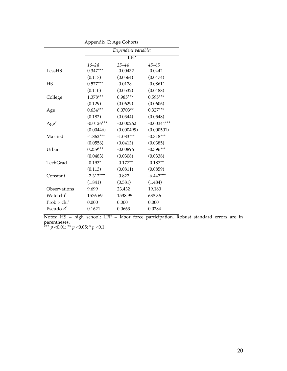|                       | . .          |                     |               |
|-----------------------|--------------|---------------------|---------------|
|                       |              | Dependent variable: |               |
|                       |              | LFP                 |               |
|                       | $16 - 24$    | $25 - 44$           | $45 - 65$     |
| LessHS                | $0.347***$   | $-0.00432$          | $-0.0442$     |
|                       | (0.117)      | (0.0564)            | (0.0474)      |
| <b>HS</b>             | $0.577***$   | $-0.0178$           | $-0.0861*$    |
|                       | (0.110)      | (0.0532)            | (0.0488)      |
| College               | 1.378***     | $0.985***$          | $0.595***$    |
|                       | (0.129)      | (0.0629)            | (0.0606)      |
| Age                   | $0.634***$   | $0.0703**$          | $0.327***$    |
|                       | (0.182)      | (0.0344)            | (0.0548)      |
| Age <sup>2</sup>      | $-0.0126***$ | $-0.000262$         | $-0.00344***$ |
|                       | (0.00446)    | (0.000499)          | (0.000501)    |
| Married               | $-1.862***$  | $-1.083***$         | $-0.318***$   |
|                       | (0.0556)     | (0.0413)            | (0.0385)      |
| Urban                 | $0.259***$   | $-0.00896$          | $-0.396***$   |
|                       | (0.0483)     | (0.0308)            | (0.0338)      |
| TechGrad              | $-0.193*$    | $-0.177**$          | $-0.187**$    |
|                       | (0.113)      | (0.0811)            | (0.0859)      |
| Constant              | $-7.312***$  | $-0.827$            | $-6.447***$   |
|                       | (1.841)      | (0.581)             | (1.484)       |
| Observations          | 9,699        | 23,432              | 19,180        |
| Wald chi <sup>2</sup> | 1576.69      | 1538.95             | 638.36        |
| $Prob > chi^2$        | 0.000        | 0.000               | 0.000         |
| Pseudo $R^2$          | 0.1621       | 0.0663              | 0.0284        |

Appendix C: Age Cohorts

Notes: HS = high school; LFP = labor force participation. Robust standard errors are in parentheses.

\*\*\* *p* <0.01; \*\* *p* <0.05; \* *p* <0.1.